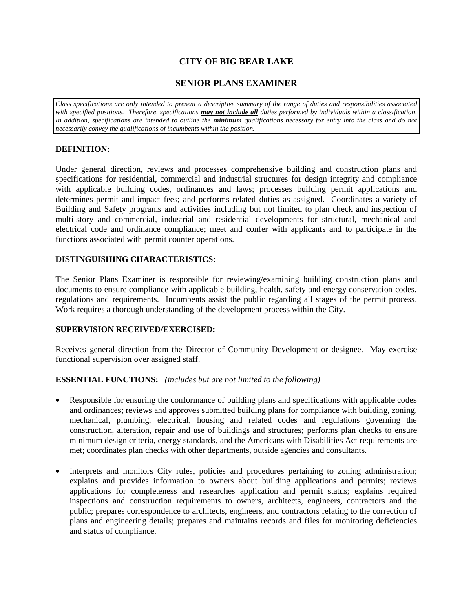# **CITY OF BIG BEAR LAKE**

# **SENIOR PLANS EXAMINER**

*Class specifications are only intended to present a descriptive summary of the range of duties and responsibilities associated with specified positions. Therefore, specifications may not include all duties performed by individuals within a classification.*  In addition, specifications are intended to outline the *minimum* qualifications necessary for entry into the class and do not *necessarily convey the qualifications of incumbents within the position.*

# **DEFINITION:**

Under general direction, reviews and processes comprehensive building and construction plans and specifications for residential, commercial and industrial structures for design integrity and compliance with applicable building codes, ordinances and laws; processes building permit applications and determines permit and impact fees; and performs related duties as assigned. Coordinates a variety of Building and Safety programs and activities including but not limited to plan check and inspection of multi-story and commercial, industrial and residential developments for structural, mechanical and electrical code and ordinance compliance; meet and confer with applicants and to participate in the functions associated with permit counter operations.

## **DISTINGUISHING CHARACTERISTICS:**

The Senior Plans Examiner is responsible for reviewing/examining building construction plans and documents to ensure compliance with applicable building, health, safety and energy conservation codes, regulations and requirements. Incumbents assist the public regarding all stages of the permit process. Work requires a thorough understanding of the development process within the City.

## **SUPERVISION RECEIVED/EXERCISED:**

Receives general direction from the Director of Community Development or designee. May exercise functional supervision over assigned staff.

## **ESSENTIAL FUNCTIONS:** *(includes but are not limited to the following)*

- Responsible for ensuring the conformance of building plans and specifications with applicable codes and ordinances; reviews and approves submitted building plans for compliance with building, zoning, mechanical, plumbing, electrical, housing and related codes and regulations governing the construction, alteration, repair and use of buildings and structures; performs plan checks to ensure minimum design criteria, energy standards, and the Americans with Disabilities Act requirements are met; coordinates plan checks with other departments, outside agencies and consultants.
- Interprets and monitors City rules, policies and procedures pertaining to zoning administration; explains and provides information to owners about building applications and permits; reviews applications for completeness and researches application and permit status; explains required inspections and construction requirements to owners, architects, engineers, contractors and the public; prepares correspondence to architects, engineers, and contractors relating to the correction of plans and engineering details; prepares and maintains records and files for monitoring deficiencies and status of compliance.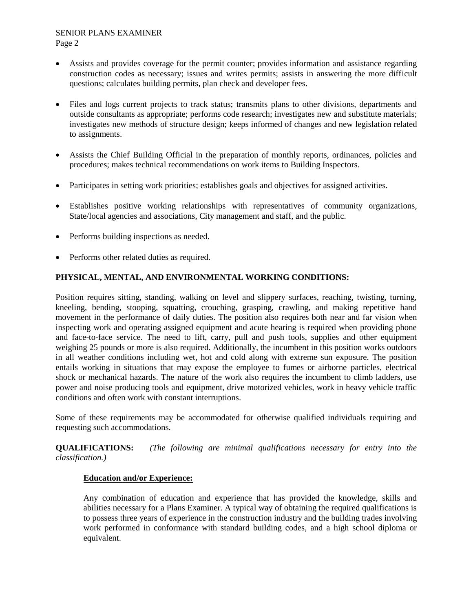#### SENIOR PLANS EXAMINER Page 2

- Assists and provides coverage for the permit counter; provides information and assistance regarding construction codes as necessary; issues and writes permits; assists in answering the more difficult questions; calculates building permits, plan check and developer fees.
- Files and logs current projects to track status; transmits plans to other divisions, departments and outside consultants as appropriate; performs code research; investigates new and substitute materials; investigates new methods of structure design; keeps informed of changes and new legislation related to assignments.
- Assists the Chief Building Official in the preparation of monthly reports, ordinances, policies and procedures; makes technical recommendations on work items to Building Inspectors.
- Participates in setting work priorities; establishes goals and objectives for assigned activities.
- Establishes positive working relationships with representatives of community organizations, State/local agencies and associations, City management and staff, and the public.
- Performs building inspections as needed.
- Performs other related duties as required.

## **PHYSICAL, MENTAL, AND ENVIRONMENTAL WORKING CONDITIONS:**

Position requires sitting, standing, walking on level and slippery surfaces, reaching, twisting, turning, kneeling, bending, stooping, squatting, crouching, grasping, crawling, and making repetitive hand movement in the performance of daily duties. The position also requires both near and far vision when inspecting work and operating assigned equipment and acute hearing is required when providing phone and face-to-face service. The need to lift, carry, pull and push tools, supplies and other equipment weighing 25 pounds or more is also required. Additionally, the incumbent in this position works outdoors in all weather conditions including wet, hot and cold along with extreme sun exposure. The position entails working in situations that may expose the employee to fumes or airborne particles, electrical shock or mechanical hazards. The nature of the work also requires the incumbent to climb ladders, use power and noise producing tools and equipment, drive motorized vehicles, work in heavy vehicle traffic conditions and often work with constant interruptions.

Some of these requirements may be accommodated for otherwise qualified individuals requiring and requesting such accommodations.

**QUALIFICATIONS:** *(The following are minimal qualifications necessary for entry into the classification.)*

## **Education and/or Experience:**

Any combination of education and experience that has provided the knowledge, skills and abilities necessary for a Plans Examiner. A typical way of obtaining the required qualifications is to possess three years of experience in the construction industry and the building trades involving work performed in conformance with standard building codes, and a high school diploma or equivalent.